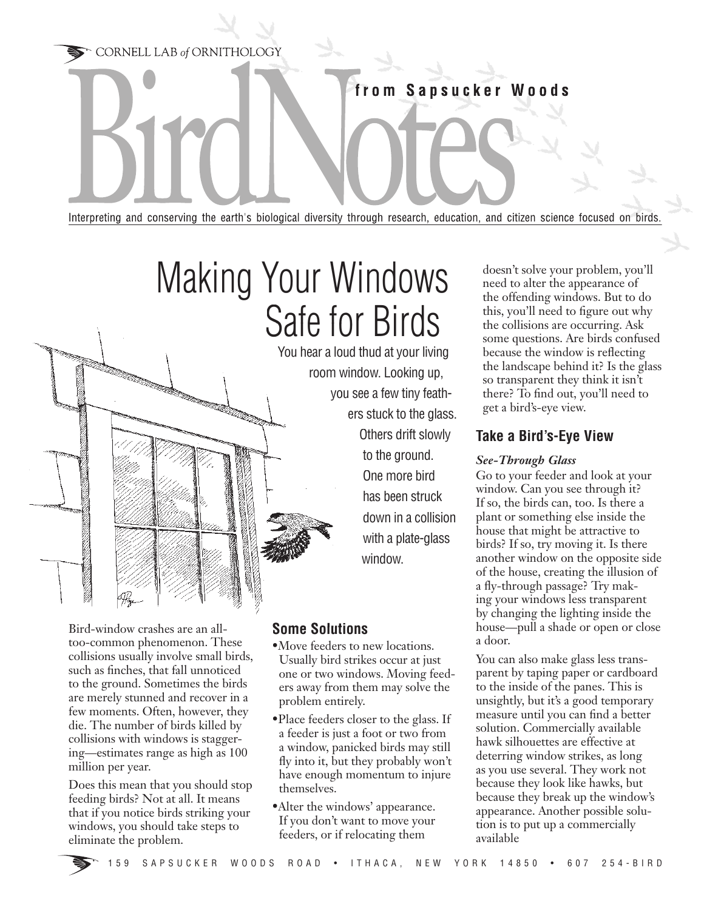CORNELL LAB of ORNITHOLOGY

from Sapsucker Woods

Interpreting and conserving the earth's biological diversity through research, education, and citizen science focused on birds

# Making Your Windows Safe for Birds

You hear a loud thud at your living

room window. Looking up, you see a few tiny feathers stuck to the glass. Others drift slowly to the ground. One more bird has been struck down in a collision with a plate-glass window.

Bird-window crashes are an all- Bird-window crashes are an alltoo-common phenomenon. These collisions usually involve small birds, such as finches, that fall unnoticed to the ground. Sometimes the birds are merely stunned and recover in a few moments. Often, however, they die. The number of birds killed by collisions with windows is staggering—estimates range as high as 100 million per year.

Does this mean that you should stop feeding birds? Not at all. It means that if you notice birds striking your windows, you should take steps to eliminate the problem.

## **Some Solutions**

- •Move feeders to new locations. Usually bird strikes occur at just one or two windows. Moving feeders away from them may solve the problem entirely.
- •Place feeders closer to the glass. If a feeder is just a foot or two from a window, panicked birds may still fly into it, but they probably won't have enough momentum to injure themselves.
- •Alter the windows' appearance. If you don't want to move your feeders, or if relocating them

doesn't solve your problem, you'll need to alter the appearance of the offending windows. But to do this, you'll need to figure out why the collisions are occurring. Ask some questions. Are birds confused because the window is reflecting the landscape behind it? Is the glass so transparent they think it isn't there? To find out, you'll need to get a bird's-eye view.

## **Take a Bird's-Eye View**

#### *See-Through Glass*

Go to your feeder and look at your window. Can you see through it? If so, the birds can, too. Is there a plant or something else inside the house that might be attractive to birds? If so, try moving it. Is there another window on the opposite side of the house, creating the illusion of a fly-through passage? Try making your windows less transparent by changing the lighting inside the house—pull a shade or open or close a door.

You can also make glass less transparent by taping paper or cardboard to the inside of the panes. This is unsightly, but it's a good temporary measure until you can find a better solution. Commercially available hawk silhouettes are effective at deterring window strikes, as long as you use several. They work not because they look like hawks, but because they break up the window's appearance. Another possible solution is to put up a commercially available